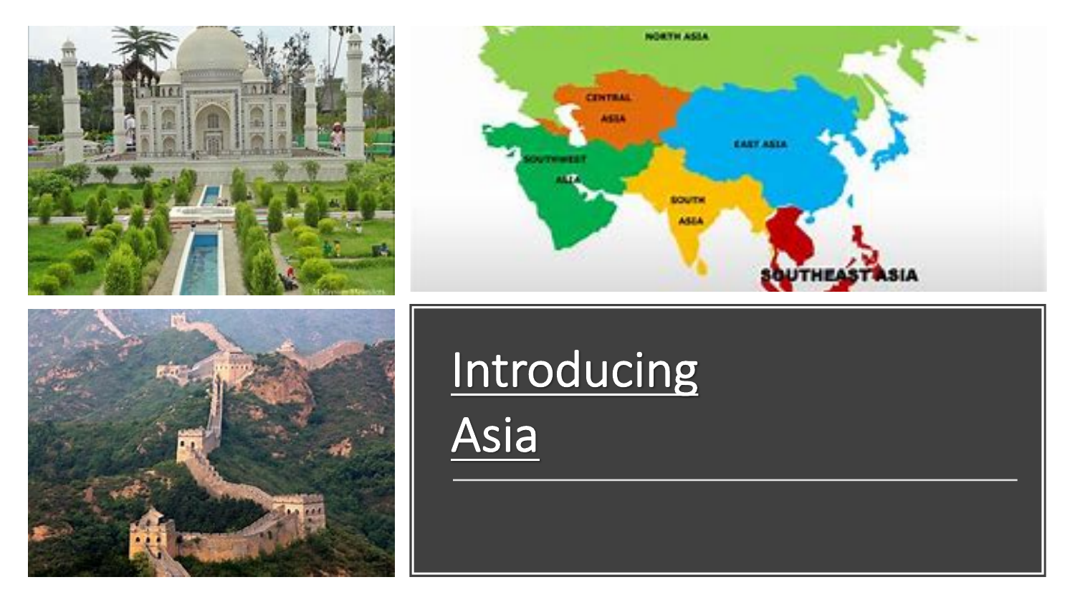





## Introducing

Asia